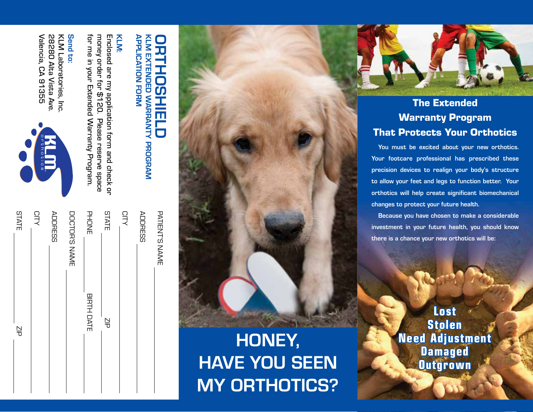| $\frac{N}{d}$     | <b>STATE</b>   |
|-------------------|----------------|
|                   | CITY           |
|                   | <b>ADDRESS</b> |
|                   | DOCTOR'S NAME  |
| <b>BIRTH DATE</b> | <b>PHONE</b>   |
| $\frac{N}{d}$     | <b>STATE</b>   |
|                   | CITY           |
|                   | <b>ADDRESS</b> |
|                   | THILL A LANGE  |

### **APPLICATION FORM** APPLICATION FORM KLM EXTENDED WARRANTY PROGRAM KLM EXTENDED WARRANTY PROGRAM ORTHOSHIELD İ **HOSHIE** 5

## KLM:

Enclosed are my application form and check or<br>money order for \$120. Please reserve space for me in your Extended Warranty Program for me in your Extended Warranty Program. money order for \$120. Please reserve space Enclosed are my application form and check or

### Send to: Send to:

Valencia, CA 91355 Valencia, CA 91355 28280 Alta Vista Ave 28280 Alta Vista Ave. KLM Laboratories, Inc KLM Laboratories, Inc.



Ξ

| DOCTOR'S NAME | <b>CITY</b><br><b>ADDRESS</b> |
|---------------|-------------------------------|
|---------------|-------------------------------|

# HONEY, HAVE YOU SEEN MY ORTHOTICS?



#### The Extended Warranty Program That Protects Your Orthotics

You must be excited about your new orthotics. Your footcare professional has prescribed these precision devices to realign your body's structure to allow your feet and legs to function better. Your orthotics will help create significant biomechanical changes to protect your future health.

Because you have chosen to make a considerable investment in your future health, you should know there is a chance your new orthotics will be:

> Lost Stolen Need Adjustment Damaged **Outgrown**